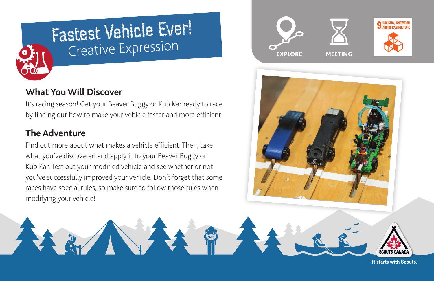

# Fastest Vehicle Ever! Creative Expression

## **What You Will Discover**

It's racing season! Get your Beaver Buggy or Kub Kar ready to race by finding out how to make your vehicle faster and more efficient.

# **The Adventure**

Find out more about what makes a vehicle efficient. Then, take what you've discovered and apply it to your Beaver Buggy or Kub Kar. Test out your modified vehicle and see whether or not you've successfully improved your vehicle. Don't forget that some races have special rules, so make sure to follow those rules when modifying your vehicle!





It starts with Scouts.